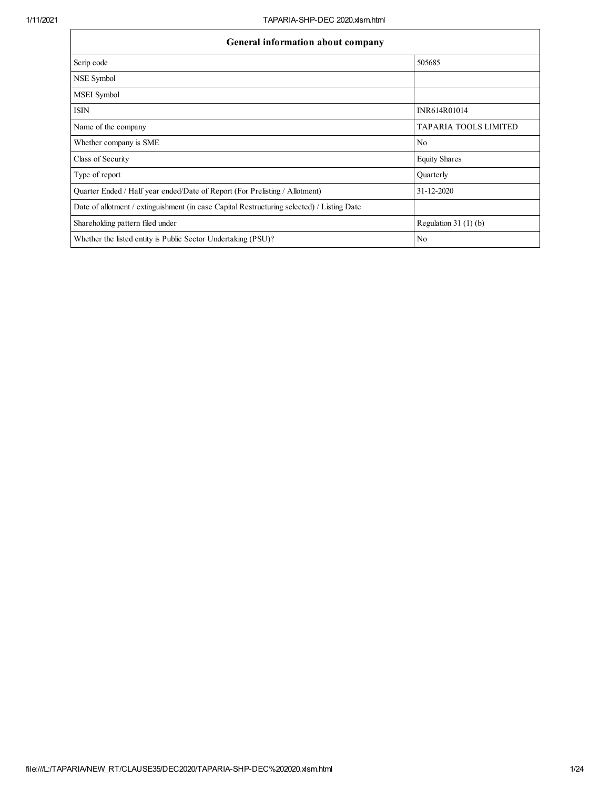| General information about company                                                          |                              |  |  |  |  |  |  |  |  |
|--------------------------------------------------------------------------------------------|------------------------------|--|--|--|--|--|--|--|--|
| Scrip code                                                                                 | 505685                       |  |  |  |  |  |  |  |  |
| NSE Symbol                                                                                 |                              |  |  |  |  |  |  |  |  |
| MSEI Symbol                                                                                |                              |  |  |  |  |  |  |  |  |
| <b>ISIN</b>                                                                                | INR614R01014                 |  |  |  |  |  |  |  |  |
| Name of the company                                                                        | <b>TAPARIA TOOLS LIMITED</b> |  |  |  |  |  |  |  |  |
| Whether company is SME                                                                     | N <sub>0</sub>               |  |  |  |  |  |  |  |  |
| Class of Security                                                                          | <b>Equity Shares</b>         |  |  |  |  |  |  |  |  |
| Type of report                                                                             | Quarterly                    |  |  |  |  |  |  |  |  |
| Quarter Ended / Half year ended/Date of Report (For Prelisting / Allotment)                | 31-12-2020                   |  |  |  |  |  |  |  |  |
| Date of allotment / extinguishment (in case Capital Restructuring selected) / Listing Date |                              |  |  |  |  |  |  |  |  |
| Shareholding pattern filed under                                                           | Regulation $31(1)(b)$        |  |  |  |  |  |  |  |  |
| Whether the listed entity is Public Sector Undertaking (PSU)?                              | No                           |  |  |  |  |  |  |  |  |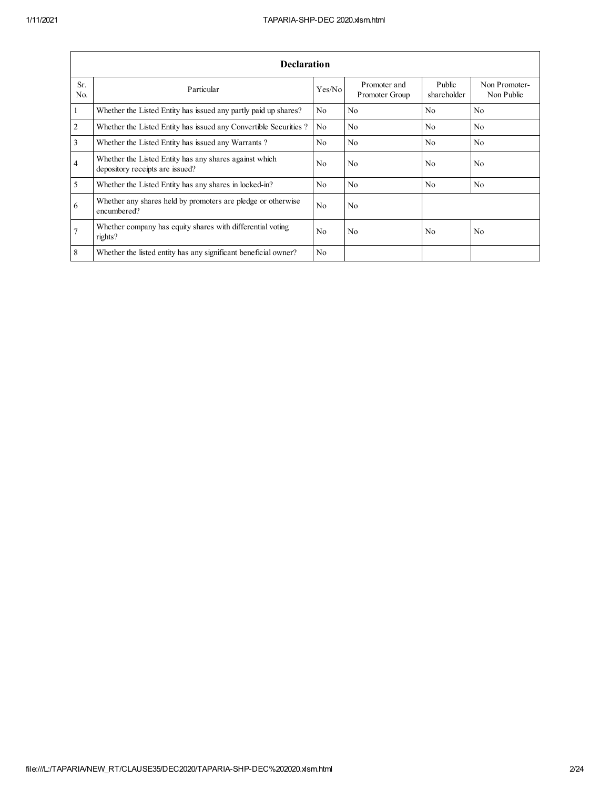|                       | <b>Declaration</b>                                                                        |                |                                |                       |                             |  |  |  |  |  |  |  |
|-----------------------|-------------------------------------------------------------------------------------------|----------------|--------------------------------|-----------------------|-----------------------------|--|--|--|--|--|--|--|
| Sr.<br>N <sub>0</sub> | Particular                                                                                | Yes/No         | Promoter and<br>Promoter Group | Public<br>shareholder | Non Promoter-<br>Non Public |  |  |  |  |  |  |  |
| 1                     | Whether the Listed Entity has issued any partly paid up shares?                           | N <sub>0</sub> | N <sub>0</sub>                 | N <sub>0</sub>        | N <sub>0</sub>              |  |  |  |  |  |  |  |
| $\overline{2}$        | Whether the Listed Entity has issued any Convertible Securities?                          | N <sub>0</sub> | N <sub>0</sub>                 | N <sub>0</sub>        | N <sub>0</sub>              |  |  |  |  |  |  |  |
| 3                     | Whether the Listed Entity has issued any Warrants?                                        | N <sub>0</sub> | N <sub>0</sub>                 | No                    | No                          |  |  |  |  |  |  |  |
| $\overline{4}$        | Whether the Listed Entity has any shares against which<br>depository receipts are issued? | No.            | N <sub>0</sub>                 | No                    | N <sub>0</sub>              |  |  |  |  |  |  |  |
| 5                     | Whether the Listed Entity has any shares in locked-in?                                    | No             | N <sub>0</sub>                 | N <sub>0</sub>        | N <sub>0</sub>              |  |  |  |  |  |  |  |
| 6                     | Whether any shares held by promoters are pledge or otherwise<br>encumbered?               | N <sub>0</sub> | N <sub>0</sub>                 |                       |                             |  |  |  |  |  |  |  |
| $\overline{7}$        | Whether company has equity shares with differential voting<br>rights?                     | N <sub>0</sub> | N <sub>0</sub>                 | N <sub>0</sub>        | N <sub>0</sub>              |  |  |  |  |  |  |  |
| 8                     | Whether the listed entity has any significant beneficial owner?                           | N <sub>0</sub> |                                |                       |                             |  |  |  |  |  |  |  |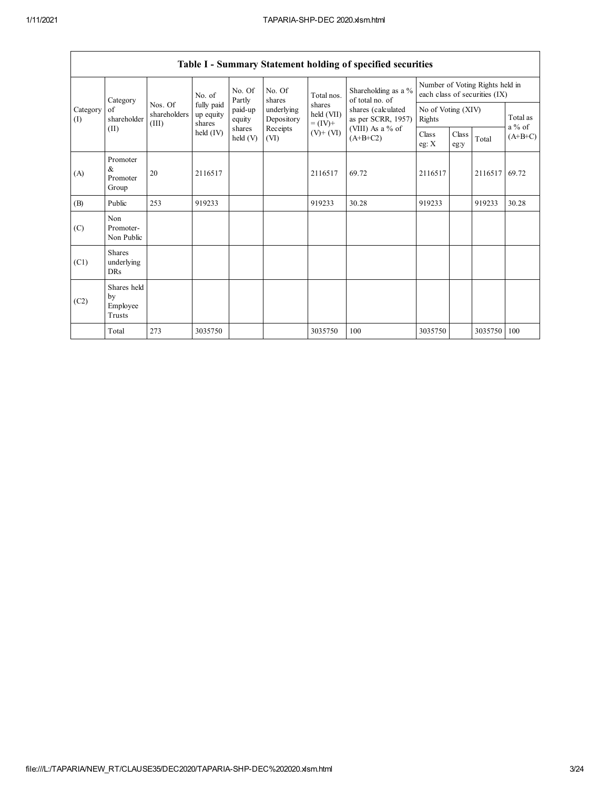|                 | Table 1 - Summary Statement holding of specified securities |                                  |                                   |                    |                          |                                    |                                                                                                                        |                                                                  |               |         |                       |  |  |
|-----------------|-------------------------------------------------------------|----------------------------------|-----------------------------------|--------------------|--------------------------|------------------------------------|------------------------------------------------------------------------------------------------------------------------|------------------------------------------------------------------|---------------|---------|-----------------------|--|--|
| Category<br>(1) | Category                                                    |                                  | No. of                            | No. Of<br>Partly   | No. Of<br>shares         | Total nos.                         | Shareholding as a %<br>of total no. of<br>shares (calculated<br>as per SCRR, 1957)<br>(VIII) As a $%$ of<br>$(A+B+C2)$ | Number of Voting Rights held in<br>each class of securities (IX) |               |         |                       |  |  |
|                 | of<br>shareholder                                           | Nos. Of<br>shareholders<br>(III) | fully paid<br>up equity<br>shares | paid-up<br>equity  | underlying<br>Depository | shares<br>held (VII)<br>$= (IV) +$ |                                                                                                                        | No of Voting (XIV)<br>Rights                                     |               |         | Total as              |  |  |
|                 | (II)                                                        |                                  | $\text{held (IV)}$                | shares<br>held (V) | Receipts<br>(VI)         | $(V)$ + $(VI)$                     |                                                                                                                        | Class<br>eg: $X$                                                 | Class<br>eg:y | Total   | $a\%$ of<br>$(A+B+C)$ |  |  |
| (A)             | Promoter<br>$\alpha$<br>Promoter<br>Group                   | 20                               | 2116517                           |                    |                          | 2116517                            | 69.72                                                                                                                  | 2116517                                                          |               | 2116517 | 69.72                 |  |  |
| (B)             | Public                                                      | 253                              | 919233                            |                    |                          | 919233                             | 30.28                                                                                                                  | 919233                                                           |               | 919233  | 30.28                 |  |  |
| (C)             | Non<br>Promoter-<br>Non Public                              |                                  |                                   |                    |                          |                                    |                                                                                                                        |                                                                  |               |         |                       |  |  |
| (C1)            | <b>Shares</b><br>underlying<br><b>DRs</b>                   |                                  |                                   |                    |                          |                                    |                                                                                                                        |                                                                  |               |         |                       |  |  |
| (C2)            | Shares held<br>by<br>Employee<br>Trusts                     |                                  |                                   |                    |                          |                                    |                                                                                                                        |                                                                  |               |         |                       |  |  |
|                 | Total                                                       | 273                              | 3035750                           |                    |                          | 3035750                            | 100                                                                                                                    | 3035750                                                          |               | 3035750 | 100                   |  |  |

# Table I - Summary Statement holding of specified securities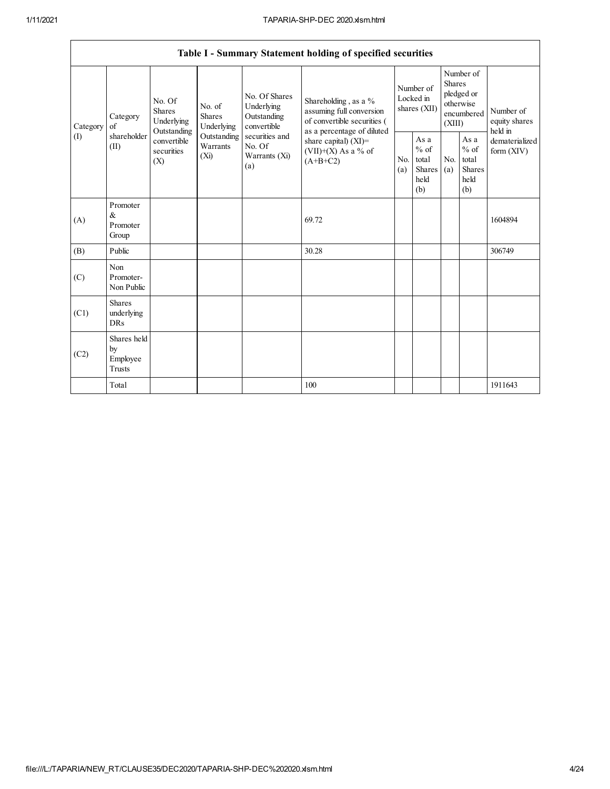$\overline{\phantom{a}}$ 

|                 |                                           |                                                 |                                 |                                                           | Table I - Summary Statement holding of specified securities                                  |                                        |                                                  |                                                                               |                                                  |                                       |
|-----------------|-------------------------------------------|-------------------------------------------------|---------------------------------|-----------------------------------------------------------|----------------------------------------------------------------------------------------------|----------------------------------------|--------------------------------------------------|-------------------------------------------------------------------------------|--------------------------------------------------|---------------------------------------|
| Category<br>(I) | Category<br>of<br>shareholder<br>(II)     | No. Of<br><b>Shares</b><br>Underlying           |                                 | No. Of Shares<br>Underlying<br>Outstanding<br>convertible | Shareholding, as a %<br>assuming full conversion<br>of convertible securities (              | Number of<br>Locked in<br>shares (XII) |                                                  | Number of<br><b>Shares</b><br>pledged or<br>otherwise<br>encumbered<br>(XIII) |                                                  | Number of<br>equity shares<br>held in |
|                 |                                           | Outstanding<br>convertible<br>securities<br>(X) | Outstanding<br>Warrants<br>(Xi) | securities and<br>No. Of<br>Warrants (Xi)<br>(a)          | as a percentage of diluted<br>share capital) $(XI)$ =<br>$(VII)+(X)$ As a % of<br>$(A+B+C2)$ | N <sub>0</sub><br>(a)                  | As a<br>$%$ of<br>total<br>Shares<br>held<br>(b) | N <sub>0</sub><br>(a)                                                         | As a<br>$%$ of<br>total<br>Shares<br>held<br>(b) | dematerialized<br>form $(XIV)$        |
| (A)             | Promoter<br>$\&$<br>Promoter<br>Group     |                                                 |                                 |                                                           | 69.72                                                                                        |                                        |                                                  |                                                                               |                                                  | 1604894                               |
| (B)             | Public                                    |                                                 |                                 |                                                           | 30.28                                                                                        |                                        |                                                  |                                                                               |                                                  | 306749                                |
| (C)             | Non<br>Promoter-<br>Non Public            |                                                 |                                 |                                                           |                                                                                              |                                        |                                                  |                                                                               |                                                  |                                       |
| (C1)            | <b>Shares</b><br>underlying<br><b>DRs</b> |                                                 |                                 |                                                           |                                                                                              |                                        |                                                  |                                                                               |                                                  |                                       |
| (C2)            | Shares held<br>by<br>Employee<br>Trusts   |                                                 |                                 |                                                           |                                                                                              |                                        |                                                  |                                                                               |                                                  |                                       |
|                 | Total                                     |                                                 |                                 |                                                           | 100                                                                                          |                                        |                                                  |                                                                               |                                                  | 1911643                               |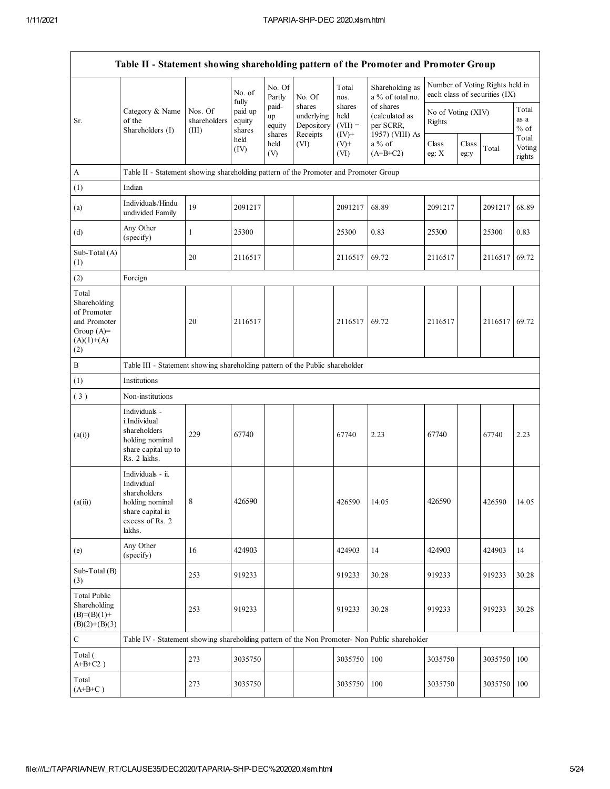| Table II - Statement showing shareholding pattern of the Promoter and Promoter Group        |                                                                                                                     |                                  |                                      |                                 |                                                |                                        |                                                             |                              |               |                                                                  |                           |  |
|---------------------------------------------------------------------------------------------|---------------------------------------------------------------------------------------------------------------------|----------------------------------|--------------------------------------|---------------------------------|------------------------------------------------|----------------------------------------|-------------------------------------------------------------|------------------------------|---------------|------------------------------------------------------------------|---------------------------|--|
|                                                                                             |                                                                                                                     |                                  | No. of                               | No. Of<br>Partly                | No. Of                                         | Total<br>nos.                          | Shareholding as<br>a % of total no.                         |                              |               | Number of Voting Rights held in<br>each class of securities (IX) |                           |  |
| Sr.                                                                                         | Category & Name<br>of the<br>Shareholders (I)                                                                       | Nos. Of<br>shareholders<br>(III) | fully<br>paid up<br>equity<br>shares | paid-<br>up<br>equity<br>shares | shares<br>underlying<br>Depository<br>Receipts | shares<br>held<br>$(VII) =$<br>$(IV)+$ | of shares<br>(calculated as<br>per SCRR,<br>1957) (VIII) As | No of Voting (XIV)<br>Rights |               |                                                                  | Total<br>as a<br>$%$ of   |  |
|                                                                                             |                                                                                                                     |                                  | held<br>(IV)                         | held<br>(V)                     | (VI)                                           | $(V)+$<br>(VI)                         | $a\%$ of<br>$(A+B+C2)$                                      | Class<br>eg: $X$             | Class<br>eg:y | Total                                                            | Total<br>Voting<br>rights |  |
| A                                                                                           | Table II - Statement showing shareholding pattern of the Promoter and Promoter Group                                |                                  |                                      |                                 |                                                |                                        |                                                             |                              |               |                                                                  |                           |  |
| (1)                                                                                         | Indian                                                                                                              |                                  |                                      |                                 |                                                |                                        |                                                             |                              |               |                                                                  |                           |  |
| (a)                                                                                         | Individuals/Hindu<br>undivided Family                                                                               | 19                               | 2091217                              |                                 |                                                | 2091217                                | 68.89                                                       | 2091217                      |               | 2091217                                                          | 68.89                     |  |
| (d)                                                                                         | Any Other<br>(specify)                                                                                              | $\mathbf{1}$                     | 25300                                |                                 |                                                | 25300                                  | 0.83                                                        | 25300                        |               | 25300                                                            | 0.83                      |  |
| Sub-Total (A)<br>(1)                                                                        |                                                                                                                     | 20                               | 2116517                              |                                 |                                                | 2116517                                | 69.72                                                       | 2116517                      |               | 2116517                                                          | 69.72                     |  |
| (2)                                                                                         | Foreign                                                                                                             |                                  |                                      |                                 |                                                |                                        |                                                             |                              |               |                                                                  |                           |  |
| Total<br>Shareholding<br>of Promoter<br>and Promoter<br>Group $(A)=$<br>$(A)(1)+(A)$<br>(2) |                                                                                                                     | 20                               | 2116517                              |                                 |                                                | 2116517                                | 69.72                                                       | 2116517                      |               | 2116517                                                          | 69.72                     |  |
| $\, {\bf B}$                                                                                | Table III - Statement showing shareholding pattern of the Public shareholder                                        |                                  |                                      |                                 |                                                |                                        |                                                             |                              |               |                                                                  |                           |  |
| (1)                                                                                         | Institutions                                                                                                        |                                  |                                      |                                 |                                                |                                        |                                                             |                              |               |                                                                  |                           |  |
| (3)                                                                                         | Non-institutions                                                                                                    |                                  |                                      |                                 |                                                |                                        |                                                             |                              |               |                                                                  |                           |  |
| (a(i))                                                                                      | Individuals -<br>i.Individual<br>shareholders<br>holding nominal<br>share capital up to<br>Rs. 2 lakhs.             | 229                              | 67740                                |                                 |                                                | 67740                                  | 2.23                                                        | 67740                        |               | 67740                                                            | 2.23                      |  |
| (a(ii))                                                                                     | Individuals - ii.<br>Individual<br>shareholders<br>holding nominal<br>share capital in<br>excess of Rs. 2<br>lakhs. | 8                                | 426590                               |                                 |                                                | 426590                                 | 14.05                                                       | 426590                       |               | 426590                                                           | 14.05                     |  |
| (e)                                                                                         | Any Other<br>(specify)                                                                                              | 16                               | 424903                               |                                 |                                                | 424903                                 | 14                                                          | 424903                       |               | 424903                                                           | 14                        |  |
| Sub-Total (B)<br>(3)                                                                        |                                                                                                                     | 253                              | 919233                               |                                 |                                                | 919233                                 | 30.28                                                       | 919233                       |               | 919233                                                           | 30.28                     |  |
| <b>Total Public</b><br>Shareholding<br>$(B)=(B)(1)+$<br>$(B)(2)+(B)(3)$                     |                                                                                                                     | 253                              | 919233                               |                                 |                                                | 919233                                 | 30.28                                                       | 919233                       |               | 919233                                                           | 30.28                     |  |
| ${\bf C}$                                                                                   | Table IV - Statement showing shareholding pattern of the Non Promoter- Non Public shareholder                       |                                  |                                      |                                 |                                                |                                        |                                                             |                              |               |                                                                  |                           |  |
| Total (<br>$A+B+C2$ )                                                                       |                                                                                                                     | 273                              | 3035750                              |                                 |                                                | 3035750                                | 100                                                         | 3035750                      |               | 3035750                                                          | 100                       |  |
| Total<br>$(A+B+C)$                                                                          |                                                                                                                     | 273                              | 3035750                              |                                 |                                                | 3035750                                | 100                                                         | 3035750                      |               | 3035750                                                          | 100                       |  |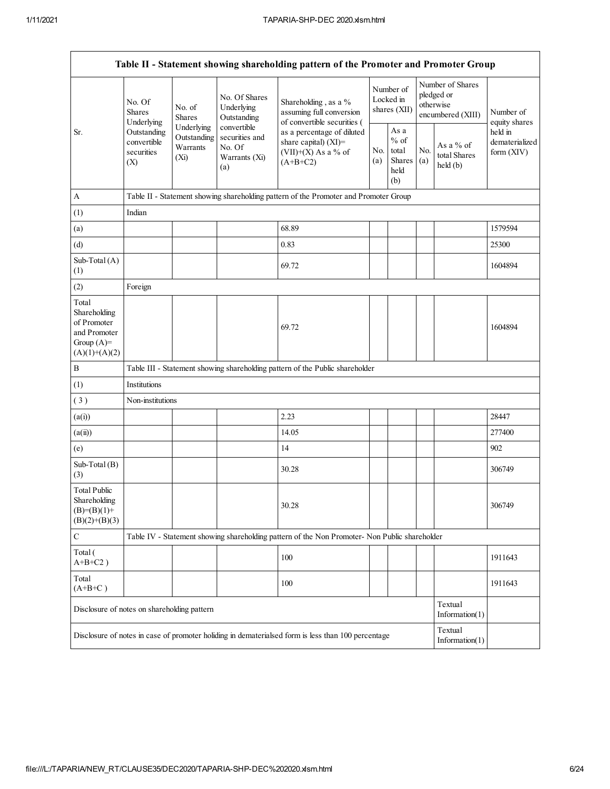| Table II - Statement showing shareholding pattern of the Promoter and Promoter Group    |                                                                                                  |                  |                                                                 |                                                                                                    |                                        |                                                  |            |                                                                  |                                           |  |  |  |
|-----------------------------------------------------------------------------------------|--------------------------------------------------------------------------------------------------|------------------|-----------------------------------------------------------------|----------------------------------------------------------------------------------------------------|----------------------------------------|--------------------------------------------------|------------|------------------------------------------------------------------|-------------------------------------------|--|--|--|
|                                                                                         | No. Of<br><b>Shares</b><br>Underlying                                                            | No. of<br>Shares | No. Of Shares<br>Underlying<br>Outstanding                      | Shareholding, as a %<br>assuming full conversion<br>of convertible securities (                    | Number of<br>Locked in<br>shares (XII) |                                                  |            | Number of Shares<br>pledged or<br>otherwise<br>encumbered (XIII) | Number of<br>equity shares                |  |  |  |
| Sr.                                                                                     | Underlying<br>Outstanding<br>Outstanding<br>convertible<br>Warrants<br>securities<br>(Xi)<br>(X) |                  | convertible<br>securities and<br>No. Of<br>Warrants (Xi)<br>(a) | as a percentage of diluted<br>share capital) (XI)=<br>$(VII)+(X)$ As a % of<br>$(A+B+C2)$          |                                        | As a<br>$%$ of<br>total<br>Shares<br>held<br>(b) | No.<br>(a) | As a % of<br>total Shares<br>held(b)                             | held in<br>dematerialized<br>form $(XIV)$ |  |  |  |
| A                                                                                       |                                                                                                  |                  |                                                                 | Table II - Statement showing shareholding pattern of the Promoter and Promoter Group               |                                        |                                                  |            |                                                                  |                                           |  |  |  |
| (1)                                                                                     | Indian                                                                                           |                  |                                                                 |                                                                                                    |                                        |                                                  |            |                                                                  |                                           |  |  |  |
| (a)                                                                                     |                                                                                                  |                  |                                                                 | 68.89                                                                                              |                                        |                                                  |            |                                                                  | 1579594                                   |  |  |  |
| (d)                                                                                     |                                                                                                  |                  |                                                                 | 0.83                                                                                               |                                        |                                                  |            |                                                                  | 25300                                     |  |  |  |
| Sub-Total (A)<br>(1)                                                                    |                                                                                                  |                  |                                                                 | 69.72                                                                                              |                                        |                                                  |            |                                                                  | 1604894                                   |  |  |  |
| (2)                                                                                     | Foreign                                                                                          |                  |                                                                 |                                                                                                    |                                        |                                                  |            |                                                                  |                                           |  |  |  |
| Total<br>Shareholding<br>of Promoter<br>and Promoter<br>Group $(A)=$<br>$(A)(1)+(A)(2)$ |                                                                                                  |                  |                                                                 | 69.72                                                                                              |                                        |                                                  |            |                                                                  | 1604894                                   |  |  |  |
| $\, {\bf B}$                                                                            |                                                                                                  |                  |                                                                 | Table III - Statement showing shareholding pattern of the Public shareholder                       |                                        |                                                  |            |                                                                  |                                           |  |  |  |
| (1)                                                                                     | Institutions                                                                                     |                  |                                                                 |                                                                                                    |                                        |                                                  |            |                                                                  |                                           |  |  |  |
| (3)                                                                                     | Non-institutions                                                                                 |                  |                                                                 |                                                                                                    |                                        |                                                  |            |                                                                  |                                           |  |  |  |
| (a(i))                                                                                  |                                                                                                  |                  |                                                                 | 2.23                                                                                               |                                        |                                                  |            |                                                                  | 28447                                     |  |  |  |
| (a(ii))                                                                                 |                                                                                                  |                  |                                                                 | 14.05                                                                                              |                                        |                                                  |            |                                                                  | 277400                                    |  |  |  |
| (e)                                                                                     |                                                                                                  |                  |                                                                 | 14                                                                                                 |                                        |                                                  |            |                                                                  | 902                                       |  |  |  |
| Sub-Total (B)<br>(3)                                                                    |                                                                                                  |                  |                                                                 | 30.28                                                                                              |                                        |                                                  |            |                                                                  | 306749                                    |  |  |  |
| <b>Total Public</b><br>Shareholding<br>$(B)=(B)(1)+$<br>$(B)(2)+(B)(3)$                 |                                                                                                  |                  |                                                                 | 30.28                                                                                              |                                        |                                                  |            |                                                                  | 306749                                    |  |  |  |
| C                                                                                       |                                                                                                  |                  |                                                                 | Table IV - Statement showing shareholding pattern of the Non Promoter- Non Public shareholder      |                                        |                                                  |            |                                                                  |                                           |  |  |  |
| Total (<br>$A+B+C2$ )                                                                   |                                                                                                  |                  |                                                                 | 100                                                                                                |                                        |                                                  |            |                                                                  | 1911643                                   |  |  |  |
| Total<br>$(A+B+C)$                                                                      |                                                                                                  |                  |                                                                 | 100                                                                                                |                                        |                                                  |            |                                                                  | 1911643                                   |  |  |  |
| Disclosure of notes on shareholding pattern                                             |                                                                                                  |                  |                                                                 |                                                                                                    |                                        |                                                  |            | Textual<br>Information(1)                                        |                                           |  |  |  |
|                                                                                         |                                                                                                  |                  |                                                                 | Disclosure of notes in case of promoter holiding in dematerialsed form is less than 100 percentage |                                        |                                                  |            | Textual<br>Information(1)                                        |                                           |  |  |  |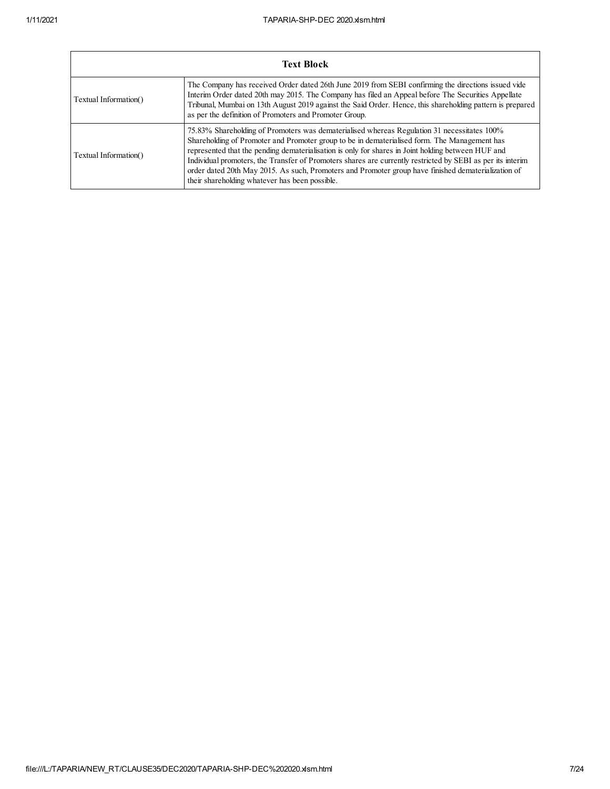|                       | <b>Text Block</b>                                                                                                                                                                                                                                                                                                                                                                                                                                                                                                                                                        |
|-----------------------|--------------------------------------------------------------------------------------------------------------------------------------------------------------------------------------------------------------------------------------------------------------------------------------------------------------------------------------------------------------------------------------------------------------------------------------------------------------------------------------------------------------------------------------------------------------------------|
| Textual Information() | The Company has received Order dated 26th June 2019 from SEBI confirming the directions issued vide<br>Interim Order dated 20th may 2015. The Company has filed an Appeal before The Securities Appellate<br>Tribunal, Mumbai on 13th August 2019 against the Said Order. Hence, this shareholding pattern is prepared<br>as per the definition of Promoters and Promoter Group.                                                                                                                                                                                         |
| Textual Information() | 75.83% Shareholding of Promoters was dematerialised whereas Regulation 31 necessitates 100%<br>Shareholding of Promoter and Promoter group to be in dematerialised form. The Management has<br>represented that the pending dematerialisation is only for shares in Joint holding between HUF and<br>Individual promoters, the Transfer of Promoters shares are currently restricted by SEBI as per its interim<br>order dated 20th May 2015. As such, Promoters and Promoter group have finished dematerialization of<br>their shareholding whatever has been possible. |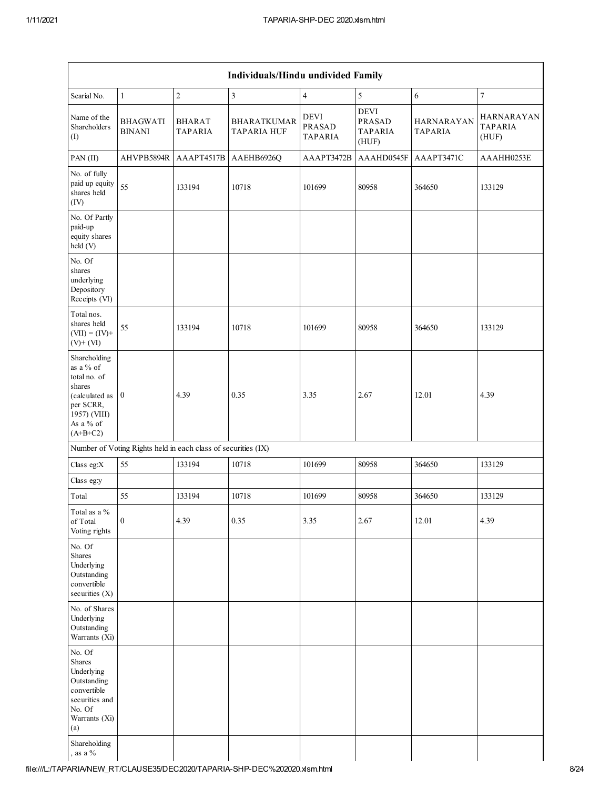| Individuals/Hindu undivided Family |                                 |                                          |                                                               |                                                         |                              |                                              |  |  |  |  |  |  |
|------------------------------------|---------------------------------|------------------------------------------|---------------------------------------------------------------|---------------------------------------------------------|------------------------------|----------------------------------------------|--|--|--|--|--|--|
| $\mathbf{1}$                       | $\sqrt{2}$                      | $\mathfrak{Z}$                           | $\overline{4}$                                                | 5                                                       | 6                            | $\boldsymbol{7}$                             |  |  |  |  |  |  |
| <b>BHAGWATI</b><br><b>BINANI</b>   | <b>BHARAT</b><br><b>TAPARIA</b> | <b>BHARATKUMAR</b><br><b>TAPARIA HUF</b> | <b>DEVI</b><br><b>PRASAD</b><br><b>TAPARIA</b>                | <b>DEVI</b><br><b>PRASAD</b><br><b>TAPARIA</b><br>(HUF) | HARNARAYAN<br><b>TAPARIA</b> | <b>HARNARAYAN</b><br><b>TAPARIA</b><br>(HUF) |  |  |  |  |  |  |
| AHVPB5894R                         | AAAPT4517B                      | AAEHB6926Q                               | AAAPT3472B                                                    | AAAHD0545F                                              | AAAPT3471C                   | AAAHH0253E                                   |  |  |  |  |  |  |
| paid up equity<br>55               | 133194                          | 10718                                    | 101699                                                        | 80958                                                   | 364650                       | 133129                                       |  |  |  |  |  |  |
|                                    |                                 |                                          |                                                               |                                                         |                              |                                              |  |  |  |  |  |  |
|                                    |                                 |                                          |                                                               |                                                         |                              |                                              |  |  |  |  |  |  |
| 55                                 | 133194                          | 10718                                    | 101699                                                        | 80958                                                   | 364650                       | 133129                                       |  |  |  |  |  |  |
| (calculated as $\vert 0 \vert$     | 4.39                            | 0.35                                     | 3.35                                                          | 2.67                                                    | 12.01                        | 4.39                                         |  |  |  |  |  |  |
|                                    |                                 |                                          |                                                               |                                                         |                              |                                              |  |  |  |  |  |  |
| 55                                 | 133194                          | 10718                                    | 101699                                                        | 80958                                                   | 364650                       | 133129                                       |  |  |  |  |  |  |
|                                    |                                 |                                          |                                                               |                                                         |                              |                                              |  |  |  |  |  |  |
| 55                                 | 133194                          | 10718                                    | 101699                                                        | 80958                                                   | 364650                       | 133129                                       |  |  |  |  |  |  |
| $\boldsymbol{0}$                   | 4.39                            | 0.35                                     | 3.35                                                          | 2.67                                                    | 12.01                        | 4.39                                         |  |  |  |  |  |  |
|                                    |                                 |                                          |                                                               |                                                         |                              |                                              |  |  |  |  |  |  |
|                                    |                                 |                                          |                                                               |                                                         |                              |                                              |  |  |  |  |  |  |
|                                    |                                 |                                          |                                                               |                                                         |                              |                                              |  |  |  |  |  |  |
|                                    |                                 |                                          | Number of Voting Rights held in each class of securities (IX) |                                                         |                              |                                              |  |  |  |  |  |  |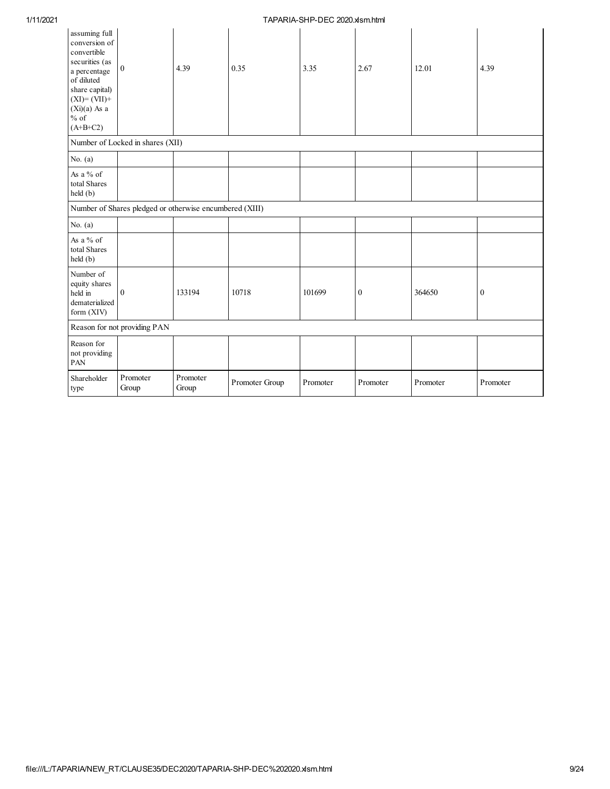| assuming full<br>conversion of<br>convertible<br>securities (as<br>a percentage<br>of diluted<br>share capital)<br>$(XI) = (VII) +$<br>$(Xi)(a)$ As a<br>$\%$ of<br>$(A+B+C2)$ | $\mathbf{0}$                                            | 4.39              | 0.35           | 3.35     | 2.67             | 12.01    | 4.39             |
|--------------------------------------------------------------------------------------------------------------------------------------------------------------------------------|---------------------------------------------------------|-------------------|----------------|----------|------------------|----------|------------------|
|                                                                                                                                                                                | Number of Locked in shares (XII)                        |                   |                |          |                  |          |                  |
| No. $(a)$                                                                                                                                                                      |                                                         |                   |                |          |                  |          |                  |
| As a % of<br>total Shares<br>held (b)                                                                                                                                          |                                                         |                   |                |          |                  |          |                  |
|                                                                                                                                                                                | Number of Shares pledged or otherwise encumbered (XIII) |                   |                |          |                  |          |                  |
| No. $(a)$                                                                                                                                                                      |                                                         |                   |                |          |                  |          |                  |
| As a % of<br>total Shares<br>held (b)                                                                                                                                          |                                                         |                   |                |          |                  |          |                  |
| Number of<br>equity shares<br>held in<br>dematerialized<br>form $(XIV)$                                                                                                        | $\mathbf{0}$                                            | 133194            | 10718          | 101699   | $\boldsymbol{0}$ | 364650   | $\boldsymbol{0}$ |
|                                                                                                                                                                                | Reason for not providing PAN                            |                   |                |          |                  |          |                  |
| Reason for<br>not providing<br>PAN                                                                                                                                             |                                                         |                   |                |          |                  |          |                  |
| Shareholder<br>type                                                                                                                                                            | Promoter<br>Group                                       | Promoter<br>Group | Promoter Group | Promoter | Promoter         | Promoter | Promoter         |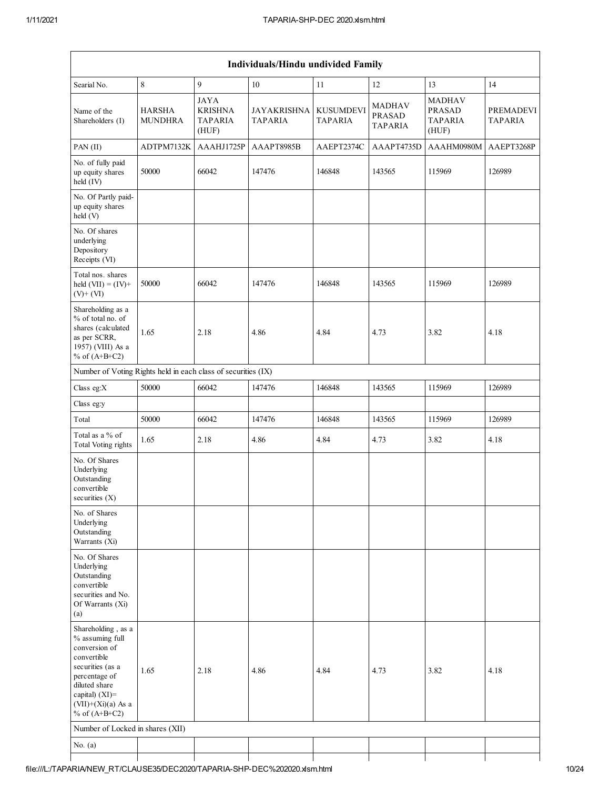| Individuals/Hindu undivided Family                                                                                                                                                          |                                 |                                                          |                                      |                             |                                                  |                                                           |                                    |  |  |  |  |
|---------------------------------------------------------------------------------------------------------------------------------------------------------------------------------------------|---------------------------------|----------------------------------------------------------|--------------------------------------|-----------------------------|--------------------------------------------------|-----------------------------------------------------------|------------------------------------|--|--|--|--|
| Searial No.                                                                                                                                                                                 | 8                               | $\mathbf{q}$                                             | $10\,$                               | 11                          | 12                                               | 13                                                        | 14                                 |  |  |  |  |
| Name of the<br>Shareholders (I)                                                                                                                                                             | <b>HARSHA</b><br><b>MUNDHRA</b> | <b>JAYA</b><br><b>KRISHNA</b><br><b>TAPARIA</b><br>(HUF) | <b>JAYAKRISHNA</b><br><b>TAPARIA</b> | <b>KUSUMDEVI</b><br>TAPARIA | <b>MADHAV</b><br><b>PRASAD</b><br><b>TAPARIA</b> | <b>MADHAV</b><br><b>PRASAD</b><br><b>TAPARIA</b><br>(HUF) | <b>PREMADEVI</b><br><b>TAPARIA</b> |  |  |  |  |
| PAN (II)                                                                                                                                                                                    | ADTPM7132K                      | AAAHJ1725P                                               | AAAPT8985B                           | AAEPT2374C                  | AAAPT4735D                                       | AAAHM0980M                                                | AAEPT3268P                         |  |  |  |  |
| No. of fully paid<br>up equity shares<br>held (IV)                                                                                                                                          | 50000                           | 66042                                                    | 147476                               | 146848                      | 143565                                           | 115969                                                    | 126989                             |  |  |  |  |
| No. Of Partly paid-<br>up equity shares<br>held (V)                                                                                                                                         |                                 |                                                          |                                      |                             |                                                  |                                                           |                                    |  |  |  |  |
| No. Of shares<br>underlying<br>Depository<br>Receipts (VI)                                                                                                                                  |                                 |                                                          |                                      |                             |                                                  |                                                           |                                    |  |  |  |  |
| Total nos. shares<br>held $(VII) = (IV) +$<br>$(V)$ + $(VI)$                                                                                                                                | 50000                           | 66042                                                    | 147476                               | 146848                      | 143565                                           | 115969                                                    | 126989                             |  |  |  |  |
| Shareholding as a<br>% of total no. of<br>shares (calculated<br>as per SCRR,<br>1957) (VIII) As a<br>% of $(A+B+C2)$                                                                        | 1.65                            | 2.18                                                     | 4.86                                 | 4.84                        | 4.73                                             | 3.82                                                      | 4.18                               |  |  |  |  |
| Number of Voting Rights held in each class of securities (IX)                                                                                                                               |                                 |                                                          |                                      |                             |                                                  |                                                           |                                    |  |  |  |  |
| Class eg:X                                                                                                                                                                                  | 50000                           | 66042                                                    | 147476                               | 146848                      | 143565                                           | 115969                                                    | 126989                             |  |  |  |  |
| Class eg:y                                                                                                                                                                                  |                                 |                                                          |                                      |                             |                                                  |                                                           |                                    |  |  |  |  |
| Total                                                                                                                                                                                       | 50000                           | 66042                                                    | 147476                               | 146848                      | 143565                                           | 115969                                                    | 126989                             |  |  |  |  |
| Total as a % of<br>Total Voting rights                                                                                                                                                      | 1.65                            | 2.18                                                     | 4.86                                 | 4.84                        | 4.73                                             | 3.82                                                      | 4.18                               |  |  |  |  |
| No. Of Shares<br>Underlying<br>Outstanding<br>convertible<br>securities $(X)$                                                                                                               |                                 |                                                          |                                      |                             |                                                  |                                                           |                                    |  |  |  |  |
| No. of Shares<br>Underlying<br>Outstanding<br>Warrants (Xi)                                                                                                                                 |                                 |                                                          |                                      |                             |                                                  |                                                           |                                    |  |  |  |  |
| No. Of Shares<br>Underlying<br>Outstanding<br>convertible<br>securities and No.<br>Of Warrants (Xi)<br>(a)                                                                                  |                                 |                                                          |                                      |                             |                                                  |                                                           |                                    |  |  |  |  |
| Shareholding, as a<br>% assuming full<br>conversion of<br>convertible<br>securities (as a<br>percentage of<br>diluted share<br>capital) $(XI)$ =<br>$(VII)+(Xi)(a)$ As a<br>% of $(A+B+C2)$ | 1.65                            | 2.18                                                     | 4.86                                 | 4.84                        | 4.73                                             | 3.82                                                      | 4.18                               |  |  |  |  |
| Number of Locked in shares (XII)                                                                                                                                                            |                                 |                                                          |                                      |                             |                                                  |                                                           |                                    |  |  |  |  |
| No. $(a)$                                                                                                                                                                                   |                                 |                                                          |                                      |                             |                                                  |                                                           |                                    |  |  |  |  |
|                                                                                                                                                                                             |                                 |                                                          |                                      |                             |                                                  |                                                           |                                    |  |  |  |  |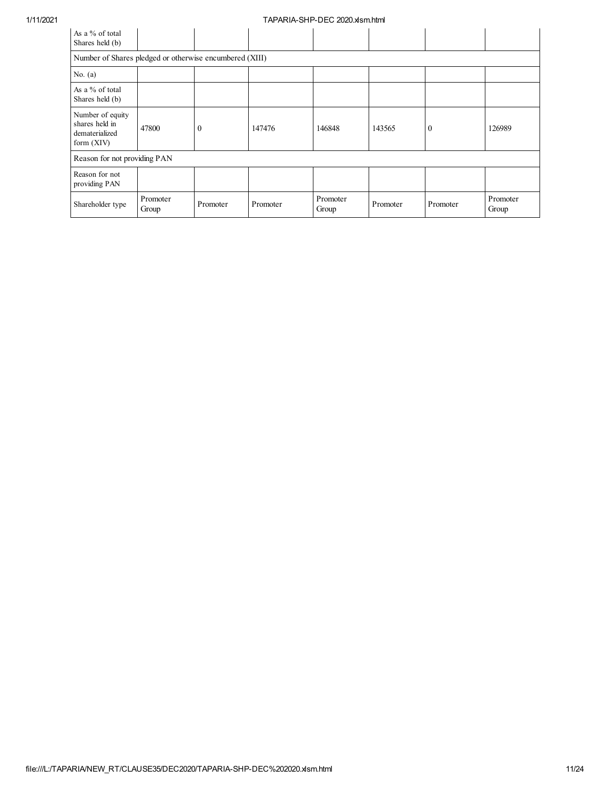| As a % of total<br>Shares held (b)                                   |                   |              |          |                   |          |              |                   |  |  |  |  |  |
|----------------------------------------------------------------------|-------------------|--------------|----------|-------------------|----------|--------------|-------------------|--|--|--|--|--|
| Number of Shares pledged or otherwise encumbered (XIII)              |                   |              |          |                   |          |              |                   |  |  |  |  |  |
| No. $(a)$                                                            |                   |              |          |                   |          |              |                   |  |  |  |  |  |
| As a % of total<br>Shares held (b)                                   |                   |              |          |                   |          |              |                   |  |  |  |  |  |
| Number of equity<br>shares held in<br>dematerialized<br>form $(XIV)$ | 47800             | $\mathbf{0}$ | 147476   | 146848            | 143565   | $\mathbf{0}$ | 126989            |  |  |  |  |  |
| Reason for not providing PAN                                         |                   |              |          |                   |          |              |                   |  |  |  |  |  |
| Reason for not<br>providing PAN                                      |                   |              |          |                   |          |              |                   |  |  |  |  |  |
| Shareholder type                                                     | Promoter<br>Group | Promoter     | Promoter | Promoter<br>Group | Promoter | Promoter     | Promoter<br>Group |  |  |  |  |  |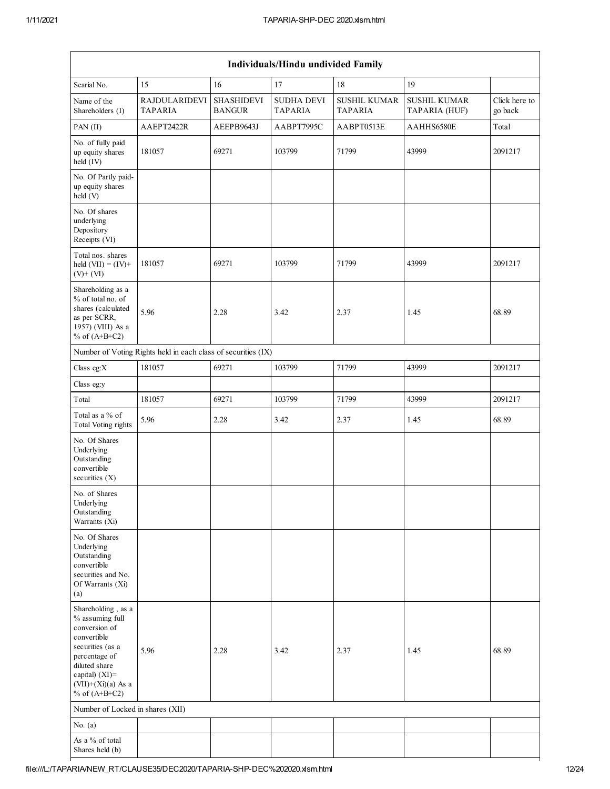| Individuals/Hindu undivided Family                                                                                                                                                          |                                                               |                                    |                                     |                                |                                      |                          |  |  |  |  |  |  |
|---------------------------------------------------------------------------------------------------------------------------------------------------------------------------------------------|---------------------------------------------------------------|------------------------------------|-------------------------------------|--------------------------------|--------------------------------------|--------------------------|--|--|--|--|--|--|
| Searial No.                                                                                                                                                                                 | 15                                                            | 16                                 | 17                                  | 18                             | 19                                   |                          |  |  |  |  |  |  |
| Name of the<br>Shareholders (I)                                                                                                                                                             | <b>RAJDULARIDEVI</b><br><b>TAPARIA</b>                        | <b>SHASHIDEVI</b><br><b>BANGUR</b> | <b>SUDHA DEVI</b><br><b>TAPARIA</b> | <b>SUSHIL KUMAR</b><br>TAPARIA | <b>SUSHIL KUMAR</b><br>TAPARIA (HUF) | Click here to<br>go back |  |  |  |  |  |  |
| PAN (II)                                                                                                                                                                                    | AAEPT2422R                                                    | AEEPB9643J                         | AABPT7995C                          | AABPT0513E                     | AAHHS6580E                           | Total                    |  |  |  |  |  |  |
| No. of fully paid<br>up equity shares<br>held (IV)                                                                                                                                          | 181057                                                        | 69271                              | 103799                              | 71799                          | 43999                                | 2091217                  |  |  |  |  |  |  |
| No. Of Partly paid-<br>up equity shares<br>held (V)                                                                                                                                         |                                                               |                                    |                                     |                                |                                      |                          |  |  |  |  |  |  |
| No. Of shares<br>underlying<br>Depository<br>Receipts (VI)                                                                                                                                  |                                                               |                                    |                                     |                                |                                      |                          |  |  |  |  |  |  |
| Total nos. shares<br>held $(VII) = (IV) +$<br>$(V)$ + $(VI)$                                                                                                                                | 181057                                                        | 69271                              | 103799                              | 71799                          | 43999                                | 2091217                  |  |  |  |  |  |  |
| Shareholding as a<br>% of total no. of<br>shares (calculated<br>as per SCRR,<br>1957) (VIII) As a<br>% of $(A+B+C2)$                                                                        | 5.96                                                          | 2.28                               | 3.42                                | 2.37                           | 1.45                                 | 68.89                    |  |  |  |  |  |  |
|                                                                                                                                                                                             | Number of Voting Rights held in each class of securities (IX) |                                    |                                     |                                |                                      |                          |  |  |  |  |  |  |
| Class eg:X                                                                                                                                                                                  | 181057                                                        | 69271                              | 103799                              | 71799                          | 43999                                | 2091217                  |  |  |  |  |  |  |
| Class eg:y                                                                                                                                                                                  |                                                               |                                    |                                     |                                |                                      |                          |  |  |  |  |  |  |
| Total                                                                                                                                                                                       | 181057                                                        | 69271                              | 103799                              | 71799                          | 43999                                | 2091217                  |  |  |  |  |  |  |
| Total as a % of<br><b>Total Voting rights</b>                                                                                                                                               | 5.96                                                          | 2.28                               | 3.42                                | 2.37                           | 1.45                                 | 68.89                    |  |  |  |  |  |  |
| No. Of Shares<br>Underlying<br>Outstanding<br>convertible<br>securities $(X)$                                                                                                               |                                                               |                                    |                                     |                                |                                      |                          |  |  |  |  |  |  |
| No. of Shares<br>Underlying<br>Outstanding<br>Warrants (Xi)                                                                                                                                 |                                                               |                                    |                                     |                                |                                      |                          |  |  |  |  |  |  |
| No. Of Shares<br>Underlying<br>Outstanding<br>convertible<br>securities and No.<br>Of Warrants (Xi)<br>(a)                                                                                  |                                                               |                                    |                                     |                                |                                      |                          |  |  |  |  |  |  |
| Shareholding, as a<br>% assuming full<br>conversion of<br>convertible<br>securities (as a<br>percentage of<br>diluted share<br>capital) $(XI)$ =<br>$(VII)+(Xi)(a)$ As a<br>% of $(A+B+C2)$ | 5.96                                                          | 2.28                               | 3.42                                | 2.37                           | 1.45                                 | 68.89                    |  |  |  |  |  |  |
| Number of Locked in shares (XII)                                                                                                                                                            |                                                               |                                    |                                     |                                |                                      |                          |  |  |  |  |  |  |
| No. $(a)$                                                                                                                                                                                   |                                                               |                                    |                                     |                                |                                      |                          |  |  |  |  |  |  |
| As a % of total<br>Shares held (b)                                                                                                                                                          |                                                               |                                    |                                     |                                |                                      |                          |  |  |  |  |  |  |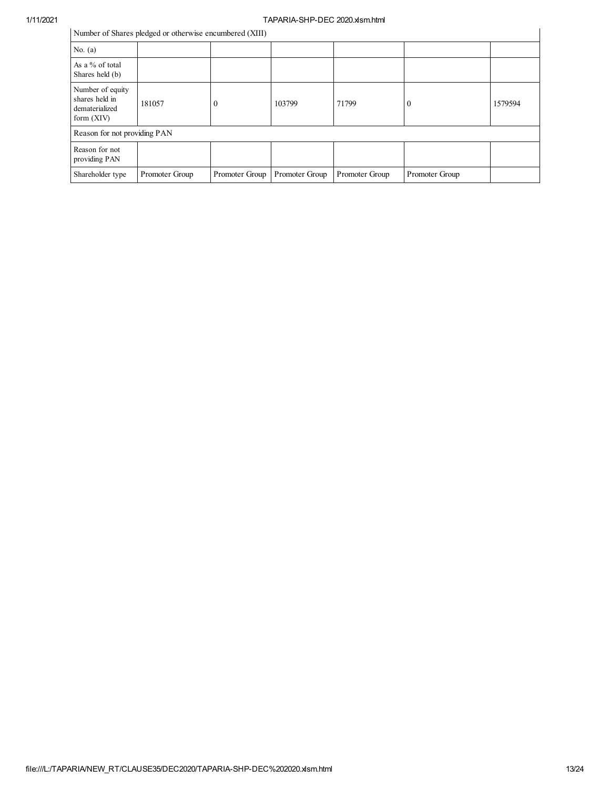# 1/11/2021<br>
Number of Shares pledged or otherwise encumbered (XIII)

| Number of Shares pledged or otherwise encumbered (XIII) |  |  |  |
|---------------------------------------------------------|--|--|--|
|                                                         |  |  |  |

|                                                                      | Number of Shares pledged or otherwise encumbered (XIII) |                |                |                |                |         |
|----------------------------------------------------------------------|---------------------------------------------------------|----------------|----------------|----------------|----------------|---------|
| No. $(a)$                                                            |                                                         |                |                |                |                |         |
| As a % of total<br>Shares held (b)                                   |                                                         |                |                |                |                |         |
| Number of equity<br>shares held in<br>dematerialized<br>form $(XIV)$ | 181057                                                  | $\theta$       | 103799         | 71799          | $\theta$       | 1579594 |
| Reason for not providing PAN                                         |                                                         |                |                |                |                |         |
| Reason for not<br>providing PAN                                      |                                                         |                |                |                |                |         |
| Shareholder type                                                     | Promoter Group                                          | Promoter Group | Promoter Group | Promoter Group | Promoter Group |         |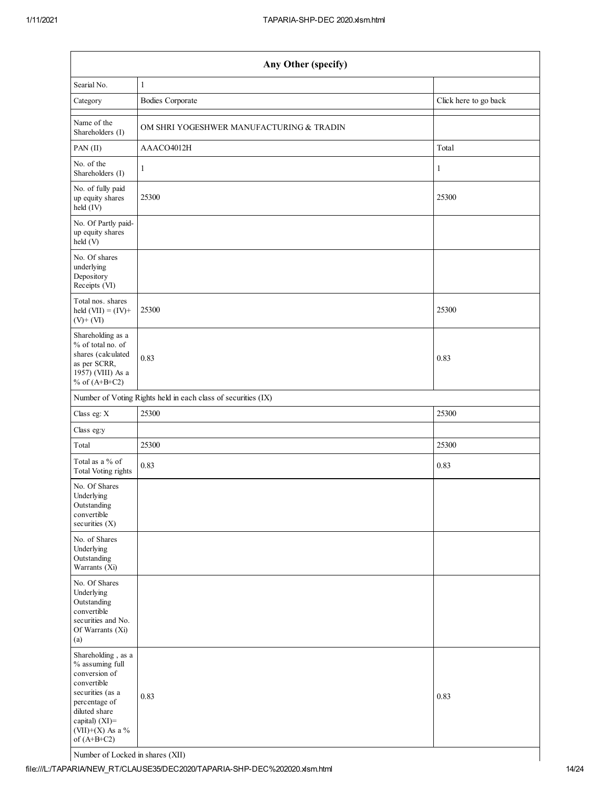| Any Other (specify)                                                                                                                                                                |                                                               |                       |  |  |  |
|------------------------------------------------------------------------------------------------------------------------------------------------------------------------------------|---------------------------------------------------------------|-----------------------|--|--|--|
| Searial No.                                                                                                                                                                        | 1                                                             |                       |  |  |  |
| Category                                                                                                                                                                           | <b>Bodies Corporate</b>                                       | Click here to go back |  |  |  |
| Name of the<br>Shareholders (I)                                                                                                                                                    | OM SHRI YOGESHWER MANUFACTURING & TRADIN                      |                       |  |  |  |
| PAN(II)                                                                                                                                                                            | AAACO4012H                                                    | Total                 |  |  |  |
| No. of the<br>Shareholders (I)                                                                                                                                                     | 1                                                             | 1                     |  |  |  |
| No. of fully paid<br>up equity shares<br>held (IV)                                                                                                                                 | 25300                                                         | 25300                 |  |  |  |
| No. Of Partly paid-<br>up equity shares<br>held (V)                                                                                                                                |                                                               |                       |  |  |  |
| No. Of shares<br>underlying<br>Depository<br>Receipts (VI)                                                                                                                         |                                                               |                       |  |  |  |
| Total nos. shares<br>held $(VII) = (IV) +$<br>$(V)$ + $(VI)$                                                                                                                       | 25300                                                         | 25300                 |  |  |  |
| Shareholding as a<br>% of total no. of<br>shares (calculated<br>as per SCRR,<br>1957) (VIII) As a<br>% of $(A+B+C2)$                                                               | 0.83                                                          | 0.83                  |  |  |  |
|                                                                                                                                                                                    | Number of Voting Rights held in each class of securities (IX) |                       |  |  |  |
| Class eg: X                                                                                                                                                                        | 25300                                                         | 25300                 |  |  |  |
| Class eg:y                                                                                                                                                                         |                                                               |                       |  |  |  |
| Total                                                                                                                                                                              | 25300                                                         | 25300                 |  |  |  |
| Total as a % of<br><b>Total Voting rights</b>                                                                                                                                      | 0.83                                                          | 0.83                  |  |  |  |
| No. Of Shares<br>Underlying<br>Outstanding<br>convertible<br>securities (X)                                                                                                        |                                                               |                       |  |  |  |
| No. of Shares<br>Underlying<br>Outstanding<br>Warrants (Xi)                                                                                                                        |                                                               |                       |  |  |  |
| No. Of Shares<br>Underlying<br>Outstanding<br>convertible<br>securities and No.<br>Of Warrants (Xi)<br>(a)                                                                         |                                                               |                       |  |  |  |
| Shareholding, as a<br>% assuming full<br>conversion of<br>convertible<br>securities (as a<br>percentage of<br>diluted share<br>capital) (XI)=<br>(VII)+(X) As a %<br>of $(A+B+C2)$ | 0.83                                                          | 0.83                  |  |  |  |

Number of Locked in shares (XII)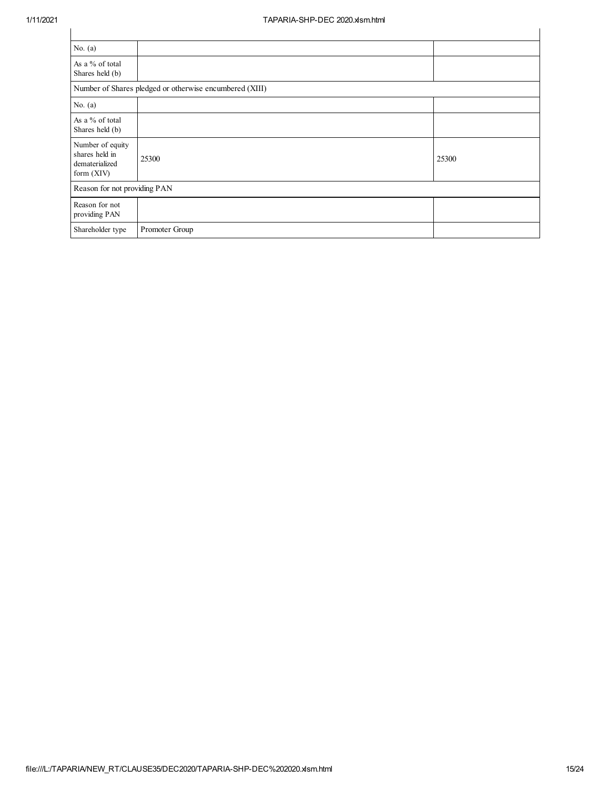| No. $(a)$                                                            |                                                         |       |
|----------------------------------------------------------------------|---------------------------------------------------------|-------|
| As a % of total<br>Shares held (b)                                   |                                                         |       |
|                                                                      | Number of Shares pledged or otherwise encumbered (XIII) |       |
| No. $(a)$                                                            |                                                         |       |
| As a % of total<br>Shares held (b)                                   |                                                         |       |
| Number of equity<br>shares held in<br>dematerialized<br>form $(XIV)$ | 25300                                                   | 25300 |
| Reason for not providing PAN                                         |                                                         |       |
| Reason for not<br>providing PAN                                      |                                                         |       |
| Shareholder type                                                     | Promoter Group                                          |       |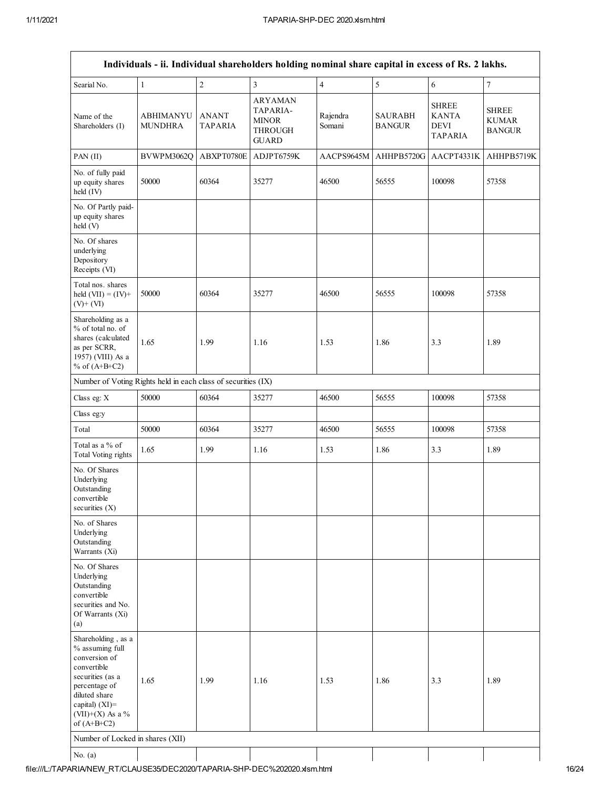|                                                                                                                                                                                          |                                    |                         | Individuals - ii. Individual shareholders holding nominal share capital in excess of Rs. 2 lakhs. |                    |                                 |                                                        |                                               |
|------------------------------------------------------------------------------------------------------------------------------------------------------------------------------------------|------------------------------------|-------------------------|---------------------------------------------------------------------------------------------------|--------------------|---------------------------------|--------------------------------------------------------|-----------------------------------------------|
| Searial No.                                                                                                                                                                              | $\mathbf{1}$                       | $\sqrt{2}$              | $\mathfrak{Z}$                                                                                    | $\overline{4}$     | 5                               | 6                                                      | $\overline{7}$                                |
| Name of the<br>Shareholders (I)                                                                                                                                                          | <b>ABHIMANYU</b><br><b>MUNDHRA</b> | <b>ANANT</b><br>TAPARIA | <b>ARYAMAN</b><br>TAPARIA-<br><b>MINOR</b><br><b>THROUGH</b><br><b>GUARD</b>                      | Rajendra<br>Somani | <b>SAURABH</b><br><b>BANGUR</b> | <b>SHREE</b><br><b>KANTA</b><br>DEVI<br><b>TAPARIA</b> | <b>SHREE</b><br><b>KUMAR</b><br><b>BANGUR</b> |
| PAN (II)                                                                                                                                                                                 | BVWPM3062Q                         | ABXPT0780E              | ADJPT6759K                                                                                        | AACPS9645M         | AHHPB5720G                      | AACPT4331K                                             | AHHPB5719K                                    |
| No. of fully paid<br>up equity shares<br>held (IV)                                                                                                                                       | 50000                              | 60364                   | 35277                                                                                             | 46500              | 56555                           | 100098                                                 | 57358                                         |
| No. Of Partly paid-<br>up equity shares<br>held (V)                                                                                                                                      |                                    |                         |                                                                                                   |                    |                                 |                                                        |                                               |
| No. Of shares<br>underlying<br>Depository<br>Receipts (VI)                                                                                                                               |                                    |                         |                                                                                                   |                    |                                 |                                                        |                                               |
| Total nos. shares<br>held $(VII) = (IV) +$<br>$(V)$ + $(VI)$                                                                                                                             | 50000                              | 60364                   | 35277                                                                                             | 46500              | 56555                           | 100098                                                 | 57358                                         |
| Shareholding as a<br>% of total no. of<br>shares (calculated<br>as per SCRR,<br>1957) (VIII) As a<br>% of $(A+B+C2)$                                                                     | 1.65                               | 1.99                    | 1.16                                                                                              | 1.53               | 1.86                            | 3.3                                                    | 1.89                                          |
| Number of Voting Rights held in each class of securities (IX)                                                                                                                            |                                    |                         |                                                                                                   |                    |                                 |                                                        |                                               |
| Class eg: X                                                                                                                                                                              | 50000                              | 60364                   | 35277                                                                                             | 46500              | 56555                           | 100098                                                 | 57358                                         |
| Class eg:y                                                                                                                                                                               |                                    |                         |                                                                                                   |                    |                                 |                                                        |                                               |
| Total                                                                                                                                                                                    | 50000                              | 60364                   | 35277                                                                                             | 46500              | 56555                           | 100098                                                 | 57358                                         |
| Total as a % of<br>Total Voting rights                                                                                                                                                   | 1.65                               | 1.99                    | 1.16                                                                                              | 1.53               | 1.86                            | 3.3                                                    | 1.89                                          |
| No. Of Shares<br>Underlying<br>Outstanding<br>convertible<br>securities $(X)$                                                                                                            |                                    |                         |                                                                                                   |                    |                                 |                                                        |                                               |
| No. of Shares<br>Underlying<br>Outstanding<br>Warrants (Xi)                                                                                                                              |                                    |                         |                                                                                                   |                    |                                 |                                                        |                                               |
| No. Of Shares<br>Underlying<br>Outstanding<br>convertible<br>securities and No.<br>Of Warrants (Xi)<br>(a)                                                                               |                                    |                         |                                                                                                   |                    |                                 |                                                        |                                               |
| Shareholding, as a<br>% assuming full<br>conversion of<br>convertible<br>securities (as a<br>percentage of<br>diluted share<br>capital) $(XI)$ =<br>(VII)+(X) As a $\%$<br>of $(A+B+C2)$ | 1.65                               | 1.99                    | 1.16                                                                                              | 1.53               | 1.86                            | 3.3                                                    | 1.89                                          |
| Number of Locked in shares (XII)                                                                                                                                                         |                                    |                         |                                                                                                   |                    |                                 |                                                        |                                               |
| No. $(a)$                                                                                                                                                                                |                                    |                         |                                                                                                   |                    |                                 |                                                        |                                               |
|                                                                                                                                                                                          |                                    |                         |                                                                                                   |                    |                                 |                                                        |                                               |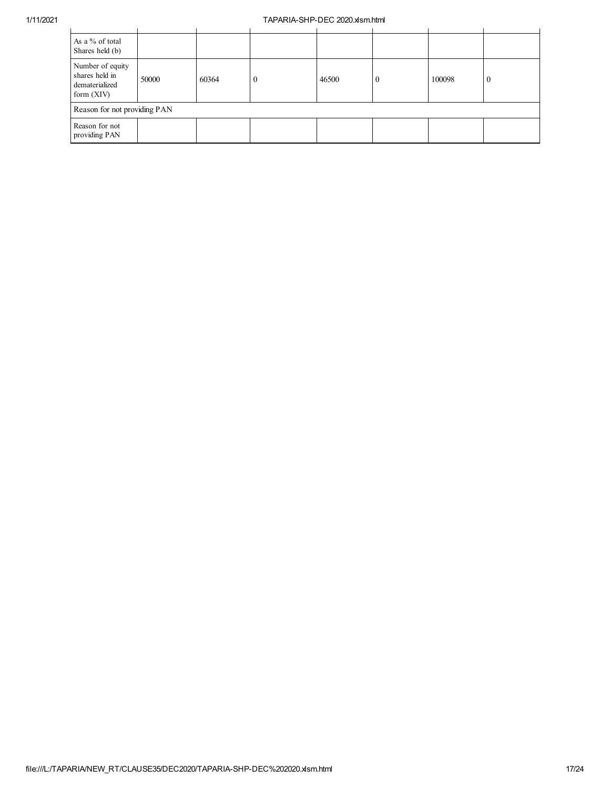| As a % of total<br>Shares held (b)                                   |       |       |          |       |  |        |          |
|----------------------------------------------------------------------|-------|-------|----------|-------|--|--------|----------|
| Number of equity<br>shares held in<br>dematerialized<br>form $(XIV)$ | 50000 | 60364 | $\theta$ | 46500 |  | 100098 | $\theta$ |
| Reason for not providing PAN                                         |       |       |          |       |  |        |          |
| Reason for not<br>providing PAN                                      |       |       |          |       |  |        |          |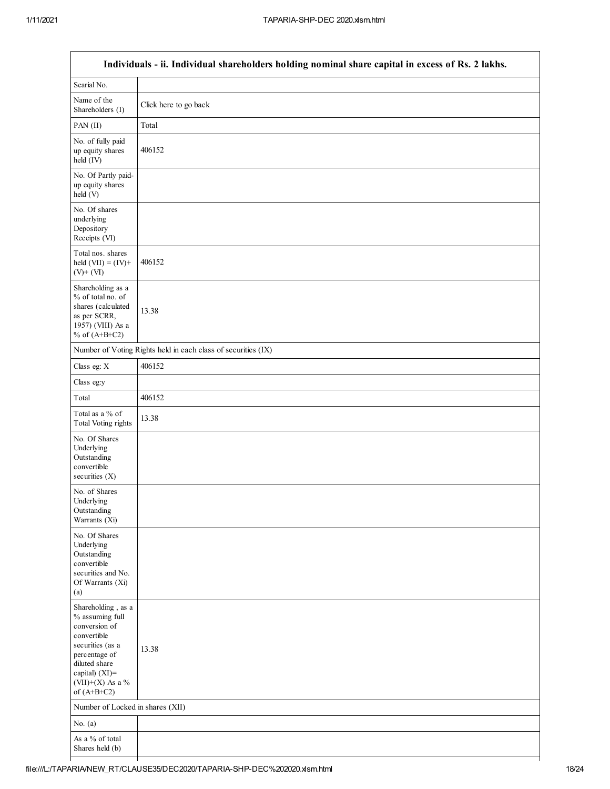|                                                                                                                                                                                         | Individuals - ii. Individual shareholders holding nominal share capital in excess of Rs. 2 lakhs. |
|-----------------------------------------------------------------------------------------------------------------------------------------------------------------------------------------|---------------------------------------------------------------------------------------------------|
| Searial No.                                                                                                                                                                             |                                                                                                   |
| Name of the<br>Shareholders (I)                                                                                                                                                         | Click here to go back                                                                             |
| PAN (II)                                                                                                                                                                                | Total                                                                                             |
| No. of fully paid<br>up equity shares<br>held (IV)                                                                                                                                      | 406152                                                                                            |
| No. Of Partly paid-<br>up equity shares<br>held (V)                                                                                                                                     |                                                                                                   |
| No. Of shares<br>underlying<br>Depository<br>Receipts (VI)                                                                                                                              |                                                                                                   |
| Total nos. shares<br>held $(VII) = (IV) +$<br>$(V)$ + $(VI)$                                                                                                                            | 406152                                                                                            |
| Shareholding as a<br>% of total no. of<br>shares (calculated<br>as per SCRR,<br>1957) (VIII) As a<br>% of $(A+B+C2)$                                                                    | 13.38                                                                                             |
|                                                                                                                                                                                         | Number of Voting Rights held in each class of securities (IX)                                     |
| Class eg: X                                                                                                                                                                             | 406152                                                                                            |
| Class eg:y                                                                                                                                                                              |                                                                                                   |
| Total                                                                                                                                                                                   | 406152                                                                                            |
| Total as a % of<br><b>Total Voting rights</b>                                                                                                                                           | 13.38                                                                                             |
| No. Of Shares<br>Underlying<br>Outstanding<br>convertible<br>securities $(X)$                                                                                                           |                                                                                                   |
| No. of Shares<br>Underlying<br>Outstanding<br>Warrants (Xi)                                                                                                                             |                                                                                                   |
| No. Of Shares<br>Underlying<br>Outstanding<br>convertible<br>securities and No.<br>Of Warrants (Xi)<br>(a)                                                                              |                                                                                                   |
| Shareholding, as a<br>% assuming full<br>conversion of<br>convertible<br>securities (as a<br>percentage of<br>diluted share<br>capital) $(XI)$ =<br>$(VII)+(X)$ As a %<br>of $(A+B+C2)$ | 13.38                                                                                             |
| Number of Locked in shares (XII)                                                                                                                                                        |                                                                                                   |
| No. $(a)$                                                                                                                                                                               |                                                                                                   |
| As a % of total<br>Shares held (b)                                                                                                                                                      |                                                                                                   |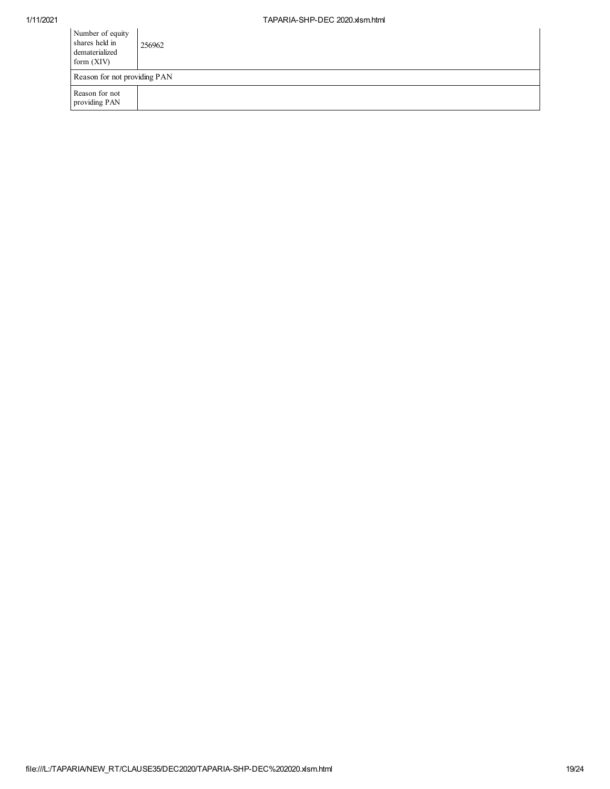| Number of equity<br>shares held in<br>dematerialized<br>form $(XIV)$ | 256962 |
|----------------------------------------------------------------------|--------|
| Reason for not providing PAN                                         |        |
| Reason for not<br>providing PAN                                      |        |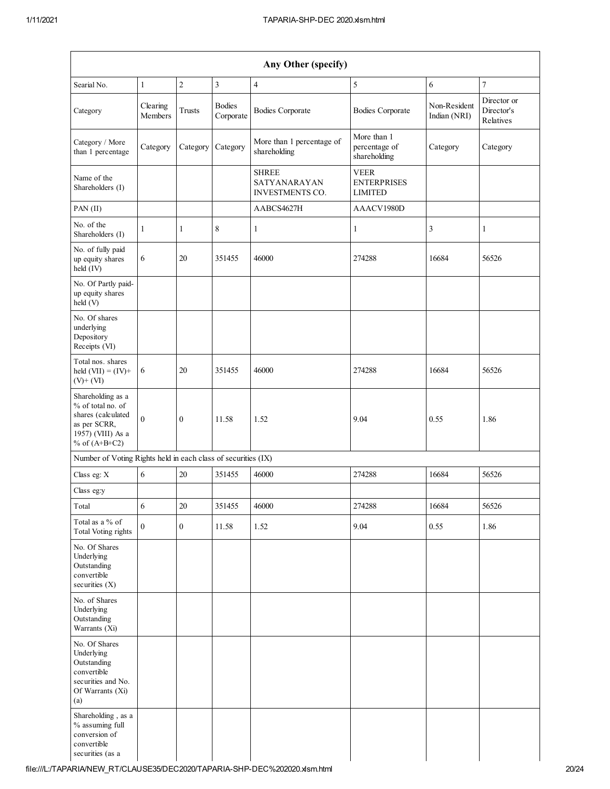|                                                                                                                      |                     |                  |                            | Any Other (specify)                                    |                                                     |                              |                                        |
|----------------------------------------------------------------------------------------------------------------------|---------------------|------------------|----------------------------|--------------------------------------------------------|-----------------------------------------------------|------------------------------|----------------------------------------|
| Searial No.                                                                                                          | $\mathbf{1}$        | $\overline{c}$   | $\overline{\mathbf{3}}$    | $\overline{4}$                                         | 5                                                   | 6                            | $\boldsymbol{7}$                       |
| Category                                                                                                             | Clearing<br>Members | Trusts           | <b>Bodies</b><br>Corporate | <b>Bodies Corporate</b>                                | <b>Bodies Corporate</b>                             | Non-Resident<br>Indian (NRI) | Director or<br>Director's<br>Relatives |
| Category / More<br>than 1 percentage                                                                                 | Category            | Category         | Category                   | More than 1 percentage of<br>shareholding              | More than 1<br>percentage of<br>shareholding        | Category                     | Category                               |
| Name of the<br>Shareholders (I)                                                                                      |                     |                  |                            | <b>SHREE</b><br>SATYANARAYAN<br><b>INVESTMENTS CO.</b> | <b>VEER</b><br><b>ENTERPRISES</b><br><b>LIMITED</b> |                              |                                        |
| $PAN$ (II)                                                                                                           |                     |                  |                            | AABCS4627H                                             | AAACV1980D                                          |                              |                                        |
| No. of the<br>Shareholders (I)                                                                                       | 1                   | $\mathbf{1}$     | $\,8\,$                    | $\mathbf{1}$                                           | 1                                                   | 3                            | $\mathbf{1}$                           |
| No. of fully paid<br>up equity shares<br>held (IV)                                                                   | 6                   | 20               | 351455                     | 46000                                                  | 274288                                              | 16684                        | 56526                                  |
| No. Of Partly paid-<br>up equity shares<br>held(V)                                                                   |                     |                  |                            |                                                        |                                                     |                              |                                        |
| No. Of shares<br>underlying<br>Depository<br>Receipts (VI)                                                           |                     |                  |                            |                                                        |                                                     |                              |                                        |
| Total nos. shares<br>held $(VII) = (IV) +$<br>$(V)$ + $(VI)$                                                         | 6                   | 20               | 351455                     | 46000                                                  | 274288                                              | 16684                        | 56526                                  |
| Shareholding as a<br>% of total no. of<br>shares (calculated<br>as per SCRR,<br>1957) (VIII) As a<br>% of $(A+B+C2)$ | $\Omega$            | $\mathbf{0}$     | 11.58                      | 1.52                                                   | 9.04                                                | 0.55                         | 1.86                                   |
| Number of Voting Rights held in each class of securities (IX)                                                        |                     |                  |                            |                                                        |                                                     |                              |                                        |
| Class eg: X                                                                                                          | 6                   | 20               | 351455                     | 46000                                                  | 274288                                              | 16684                        | 56526                                  |
| Class eg:y                                                                                                           |                     |                  |                            |                                                        |                                                     |                              |                                        |
| Total                                                                                                                | 6                   | $20\,$           | 351455                     | 46000                                                  | 274288                                              | 16684                        | 56526                                  |
| Total as a % of<br><b>Total Voting rights</b>                                                                        | $\mathbf{0}$        | $\boldsymbol{0}$ | 11.58                      | 1.52                                                   | 9.04                                                | 0.55                         | 1.86                                   |
| No. Of Shares<br>Underlying<br>Outstanding<br>convertible<br>securities $(X)$                                        |                     |                  |                            |                                                        |                                                     |                              |                                        |
| No. of Shares<br>Underlying<br>Outstanding<br>Warrants (Xi)                                                          |                     |                  |                            |                                                        |                                                     |                              |                                        |
| No. Of Shares<br>Underlying<br>Outstanding<br>convertible<br>securities and No.<br>Of Warrants (Xi)<br>(a)           |                     |                  |                            |                                                        |                                                     |                              |                                        |
| Shareholding, as a<br>% assuming full<br>conversion of<br>convertible<br>securities (as a                            |                     |                  |                            |                                                        |                                                     |                              |                                        |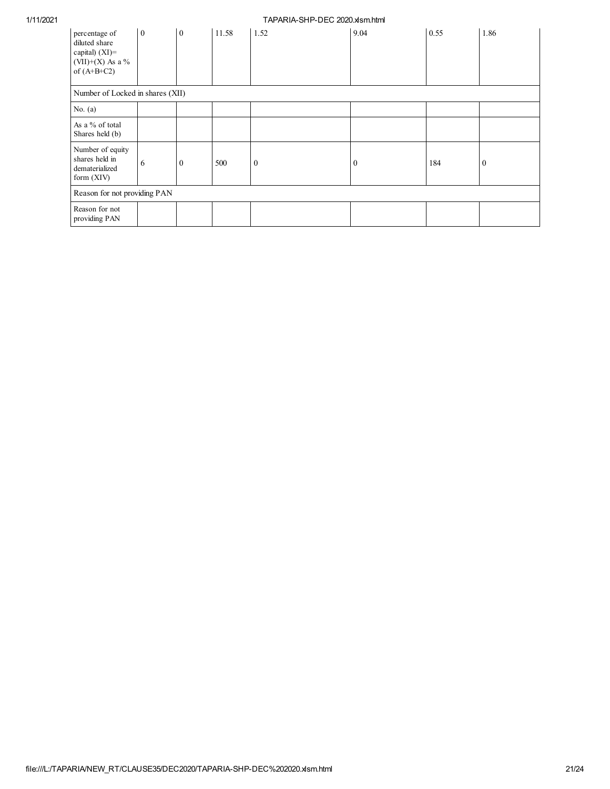| percentage of<br>diluted share<br>capital) (XI)=<br>$(VII)+(X)$ As a %<br>of $(A+B+C2)$ | $\overline{0}$ | $\overline{0}$ | 11.58 | 1.52           | 9.04         | 0.55 | 1.86     |
|-----------------------------------------------------------------------------------------|----------------|----------------|-------|----------------|--------------|------|----------|
| Number of Locked in shares (XII)                                                        |                |                |       |                |              |      |          |
| No. $(a)$                                                                               |                |                |       |                |              |      |          |
| As a % of total<br>Shares held (b)                                                      |                |                |       |                |              |      |          |
| Number of equity<br>shares held in<br>dematerialized<br>form $(XIV)$                    | 6              | $\mathbf{0}$   | 500   | $\overline{0}$ | $\mathbf{0}$ | 184  | $\bf{0}$ |
| Reason for not providing PAN                                                            |                |                |       |                |              |      |          |
| Reason for not<br>providing PAN                                                         |                |                |       |                |              |      |          |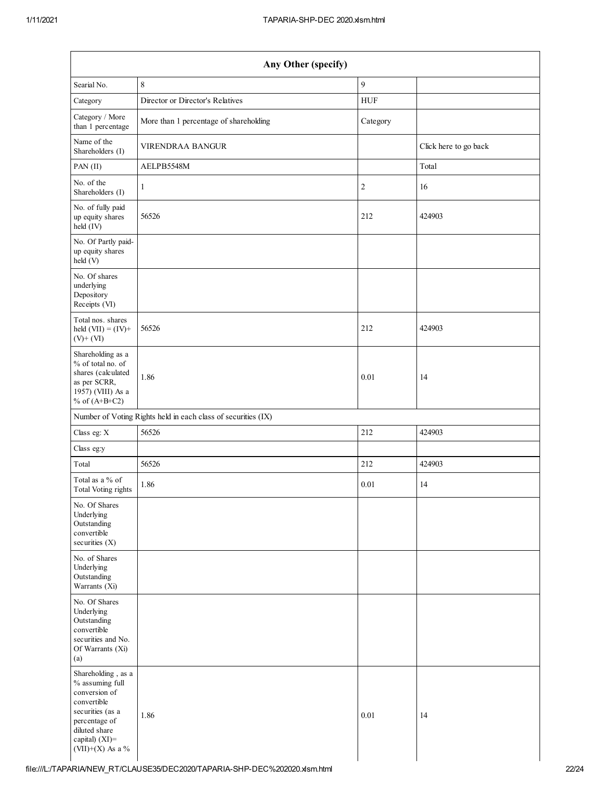| Any Other (specify)                                                                                                                                               |                                                               |                |                       |  |  |  |  |
|-------------------------------------------------------------------------------------------------------------------------------------------------------------------|---------------------------------------------------------------|----------------|-----------------------|--|--|--|--|
| Searial No.                                                                                                                                                       | $\,$ 8 $\,$                                                   | 9              |                       |  |  |  |  |
| Category                                                                                                                                                          | Director or Director's Relatives                              | <b>HUF</b>     |                       |  |  |  |  |
| Category / More<br>than 1 percentage                                                                                                                              | More than 1 percentage of shareholding                        | Category       |                       |  |  |  |  |
| Name of the<br>Shareholders (I)                                                                                                                                   | <b>VIRENDRAA BANGUR</b>                                       |                | Click here to go back |  |  |  |  |
| $PAN$ (II)                                                                                                                                                        | AELPB5548M                                                    |                | Total                 |  |  |  |  |
| No. of the<br>Shareholders (I)                                                                                                                                    | $\mathbf{1}$                                                  | $\overline{c}$ | 16                    |  |  |  |  |
| No. of fully paid<br>up equity shares<br>held (IV)                                                                                                                | 56526                                                         | 212            | 424903                |  |  |  |  |
| No. Of Partly paid-<br>up equity shares<br>held (V)                                                                                                               |                                                               |                |                       |  |  |  |  |
| No. Of shares<br>underlying<br>Depository<br>Receipts (VI)                                                                                                        |                                                               |                |                       |  |  |  |  |
| Total nos. shares<br>held $(VII) = (IV) +$<br>$(V)$ + $(VI)$                                                                                                      | 56526                                                         | 212            | 424903                |  |  |  |  |
| Shareholding as a<br>% of total no. of<br>shares (calculated<br>as per SCRR,<br>1957) (VIII) As a<br>% of $(A+B+C2)$                                              | 1.86                                                          | 0.01           | 14                    |  |  |  |  |
|                                                                                                                                                                   | Number of Voting Rights held in each class of securities (IX) |                |                       |  |  |  |  |
| Class eg: X                                                                                                                                                       | 56526                                                         | 212            | 424903                |  |  |  |  |
| Class eg:y                                                                                                                                                        |                                                               |                |                       |  |  |  |  |
| Total                                                                                                                                                             | 56526                                                         | 212            | 424903                |  |  |  |  |
| Total as a % of<br>Total Voting rights                                                                                                                            | 1.86                                                          | 0.01           | 14                    |  |  |  |  |
| No. Of Shares<br>Underlying<br>Outstanding<br>convertible<br>securities (X)                                                                                       |                                                               |                |                       |  |  |  |  |
| No. of Shares<br>Underlying<br>Outstanding<br>Warrants (Xi)                                                                                                       |                                                               |                |                       |  |  |  |  |
| No. Of Shares<br>Underlying<br>Outstanding<br>convertible<br>securities and No.<br>Of Warrants (Xi)<br>(a)                                                        |                                                               |                |                       |  |  |  |  |
| Shareholding, as a<br>% assuming full<br>conversion of<br>convertible<br>securities (as a<br>percentage of<br>diluted share<br>capital) (XI)=<br>(VII)+(X) As a % | 1.86                                                          | 0.01           | 14                    |  |  |  |  |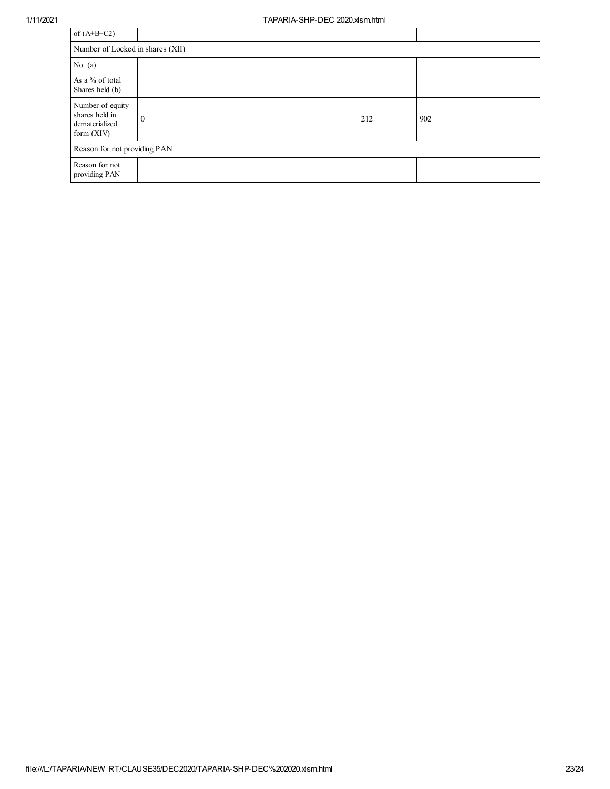| of $(A+B+C2)$                                                        |          |     |     |  |  |  |  |
|----------------------------------------------------------------------|----------|-----|-----|--|--|--|--|
| Number of Locked in shares (XII)                                     |          |     |     |  |  |  |  |
| No. $(a)$                                                            |          |     |     |  |  |  |  |
| As a % of total<br>Shares held (b)                                   |          |     |     |  |  |  |  |
| Number of equity<br>shares held in<br>dematerialized<br>form $(XIV)$ | $\theta$ | 212 | 902 |  |  |  |  |
| Reason for not providing PAN                                         |          |     |     |  |  |  |  |
| Reason for not<br>providing PAN                                      |          |     |     |  |  |  |  |